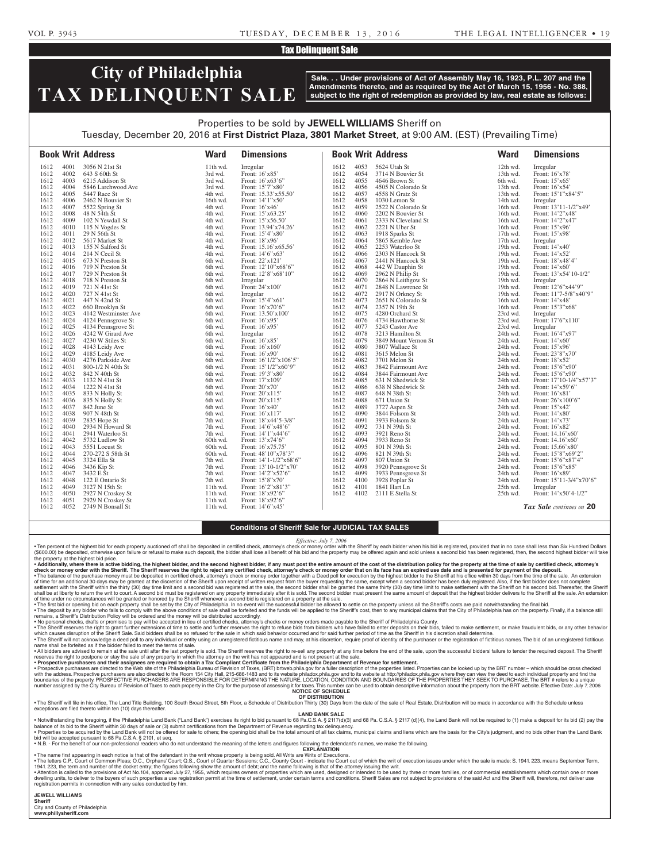#### VOL P. 3943 TUESDAY, D E C E M B E R 1 3 , 2 0 1 6 THE LEGAL INTELLIGENCER • 1 9

### **Tax Delinquent Sale**

# **City of Philadelphia TAX DELINQUENT SALE**

**Sale. . . Under provisions of Act of Assembly May 16, 1923, P.L. 207 and the Amendments thereto, and as required by the Act of March 15, 1956 - No. 388, subject to the right of redemption as provided by law, real estate as follows:**

# Properties to be sold by **JEWELL WILLIAMS** Sheriff on Tuesday, December 20, 2016 at **First District Plaza, 3801 Market Street**, at 9:00 AM. (EST) (Prevailing Time)

|              |              | <b>Book Writ Address</b>         | <b>Ward</b>        | <b>Dimensions</b>                   |              |              | <b>Book Writ Address</b>                | <b>Ward</b>          | <b>Dimensions</b>                           |
|--------------|--------------|----------------------------------|--------------------|-------------------------------------|--------------|--------------|-----------------------------------------|----------------------|---------------------------------------------|
| 1612         | 4001         | 3056 N 21st St                   | $11th$ wd.         | Irregular                           | 1612         | 4053         | 5624 Utah St                            | 12th wd.             | Irregular                                   |
| 1612         | 4002         | 643 S 60th St                    | 3rd wd.            | Front: 16'x85'                      | 1612         | 4054         | 3714 N Bouvier St                       | 13th wd.             | Front: 16'x78'                              |
| 1612         | 4003         | 6215 Addison St                  | 3rd wd.            | Front: 16'x63'6"                    | 1612         | 4055         | 4646 Brown St                           | 6th wd.              | Front: 15'x65'                              |
| 1612         | 4004         | 5846 Larchwood Ave               | 3rd wd.            | Front: 15'7"x80'                    | 1612         | 4056         | 4505 N Colorado St                      | 13th wd.             | Front: 16'x54'                              |
| 1612         | 4005         | 5447 Race St                     | 4th wd.            | Front: 15.33'x55.50'                | 1612         | 4057         | 4558 N Gratz St                         | 13th wd.             | Front: 15'1"x84'5"                          |
| 1612         | 4006         | 2462 N Bouvier St                | 16th wd.           | Front: 14'1"x50'                    | 1612         | 4058         | 1030 Lemon St                           | 14th wd.             | Irregular                                   |
| 1612<br>1612 | 4007<br>4008 | 5522 Spring St                   | 4th wd.            | Front: 16'x46'<br>Front: 15'x63.25' | 1612<br>1612 | 4059<br>4060 | 2522 N Colorado St<br>2202 N Bouvier St | 16th wd.<br>16th wd. | Front: 13'11-1/2"x49'<br>Front: 14'2"x48'   |
| 1612         | 4009         | 48 N 54th St<br>102 N Yewdall St | 4th wd.<br>4th wd. | Front: 15'x56.50'                   | 1612         | 4061         | 2333 N Cleveland St                     | 16th wd.             | Front: 14'2"x47'                            |
| 1612         | 4010         | 115 N Vogdes St                  | 4th wd.            | Front: 13.94'x74.26'                | 1612         | 4062         | 2221 N Uber St                          | 16th wd.             | Front: 15'x96'                              |
| 1612         | 4011         | 29 N 56th St                     | 4th wd.            | Front: 15'4"x80'                    | 1612         | 4063         | 1918 Sparks St                          | $17th$ wd.           | Front: 15'x98'                              |
| 1612         | 4012         | 5617 Market St                   | 4th wd.            | Front: 18'x96'                      | 1612         | 4064         | 5865 Kemble Ave                         | 17th wd.             | Irregular                                   |
| 1612         | 4013         | 155 N Salford St                 | 4th wd.            | Front: 15.16'x65.56'                | 1612         | 4065         | 2253 Waterloo St                        | 19th wd.             | Front: 14'x40'                              |
| 1612         | 4014         | 214 N Cecil St                   | 4th wd.            | Front: 14'6"x63'                    | 1612         | 4066         | 2303 N Hancock St                       | 19th wd.             | Front: 14'x52'                              |
| 1612         | 4015         | 673 N Preston St                 | 6th wd.            | Front: 22'x121'                     | 1612         | 4067         | 2441 N Hancock St                       | 19th wd.             | Front: 18'x48'4"                            |
| 1612         | 4016         | 719 N Preston St                 | 6th wd.            | Front: 12'10"x68'6"                 | 1612         | 4068         | 442 W Dauphin St                        | 19th wd.             | Front: 14'x60'                              |
| 1612         | 4017         | 729 N Preston St                 | 6th wd.            | Front: 12'8"x68'10"                 | 1612         | 4069         | 2962 N Philip St                        | 19th wd.             | Front: 13'x54'10-1/2"                       |
| 1612         | 4018         | 718 N Preston St                 | 6th wd.            | Irregular                           | 1612         | 4070         | 2864 N Leithgow St                      | 19th wd.             | Irregular                                   |
| 1612         | 4019         | 721 N 41st St                    | 6th wd.            | Front: 24'x100'                     | 1612         | 4071         | 2848 N Lawrence St                      | 19th wd.             | Front: 12'6"x44'9"                          |
| 1612         | 4020         | 727 N 41st St                    | 6th wd.            | Irregular                           | 1612         | 4072         | 2917 N Orkney St                        | 19th wd.             | Front: 11'7-5/8"x40'9"                      |
| 1612         | 4021         | 447 N 42nd St                    | 6th wd.            | Front: 15'4"x61'                    | 1612         | 4073         | 2651 N Colorado St                      | 16th wd.             | Front: 14'x48'                              |
| 1612         | 4022         | 660 Brooklyn St                  | 6th wd.            | Front: 16'x70'6"                    | 1612         | 4074         | 2357 N 19th St                          | 16th wd.             | Front: 15'3"x68'                            |
| 1612         | 4023         | 4142 Westminster Ave             | 6th wd.            | Front: 13.50'x100'                  | 1612         | 4075         | 4280 Orchard St                         | 23rd wd.             | Irregular                                   |
| 1612         | 4024         | 4124 Pennsgrove St               | 6th wd.            | Front: 16'x95'                      | 1612         | 4076         | 4734 Hawthorne St                       | 23rd wd.             | Front: 17'6"x110"                           |
| 1612         | 4025         | 4134 Pennsgrove St               | 6th wd.            | Front: 16'x95'                      | 1612         | 4077         | 5243 Castor Ave                         | 23rd wd.             | Irregular                                   |
| 1612         | 4026         | 4242 W Girard Ave                | 6th wd.            | Irregular                           | 1612         | 4078         | 3213 Hamilton St                        | 24th wd.             | Front: 16'4"x97'                            |
| 1612         | 4027         | 4230 W Stiles St                 | 6th wd.            | Front: 16'x85'                      | 1612         | 4079         | 3849 Mount Vernon St                    | 24th wd.             | Front: 14'x60'                              |
| 1612         | 4028         | 4143 Leidy Ave                   | 6th wd.            | Front: 16'x160'                     | 1612         | 4080         | 3807 Wallace St                         | 24th wd.             | Front: 15'x96'                              |
| 1612         | 4029         | 4185 Leidy Ave                   | 6th wd.            | Front: 16'x90'                      | 1612         | 4081         | 3615 Melon St                           | 24th wd.             | Front: 23'8"x70'                            |
| 1612         | 4030         | 4276 Parkside Ave                | 6th wd.            | Front: 16'1/2"x106'5"               | 1612         | 4082         | 3701 Melon St                           | 24th wd.             | Front: 18'x52'                              |
| 1612         | 4031         | 800-1/2 N 40th St                | 6th wd.            | Front: 15'1/2"x60'9"                | 1612         | 4083         | 3842 Fairmount Ave                      | 24th wd.             | Front: 15'6"x90"                            |
| 1612         | 4032         | 842 N 40th St                    | 6th wd.            | Front: 19'3"x80"                    | 1612         | 4084         | 3844 Fairmount Ave                      | 24th wd.             | Front: 15'6"x90"                            |
| 1612<br>1612 | 4033<br>4034 | 1132 N 41st St<br>1222 N 41st St | 6th wd.            | Front: 17'x109'<br>Front: 20'x70'   | 1612<br>1612 | 4085<br>4086 | 631 N Shedwick St<br>638 N Shedwick St  | 24th wd.<br>24th wd. | Front: 17'10-1/4"x57'3"<br>Front: 14'x59'6" |
| 1612         | 4035         | 833 N Holly St                   | 6th wd.            |                                     | 1612         | 4087         | 648 N 38th St                           | 24th wd.             | Front: 16'x81'                              |
| 1612         | 4036         | 835 N Holly St                   | 6th wd.<br>6th wd. | Front: 20'x115'<br>Front: 20'x115'  | 1612         | 4088         | 671 Union St                            | 24th wd.             | Front: 26'x100'6"                           |
| 1612         | 4037         | 842 June St                      | 6th wd.            | Front: 16'x40'                      | 1612         | 4089         | 3727 Aspen St                           | 24th wd.             | Front: 15'x42'                              |
| 1612         | 4038         | 907 N 48th St                    | 6th wd.            | Front: 16'x117'                     | 1612         | 4090         | 3844 Folsom St                          | 24th wd.             | Front: 14'x80'                              |
| 1612         | 4039         | 2835 Hope St                     | 7th wd.            | Front: 18'x44'5-3/8"                | 1612         | 4091         | 3933 Folsom St                          | 24th wd.             | Front: 14'x73'                              |
| 1612         | 4040         | 2934 N Howard St                 | 7th wd.            | Front: 14'6"x48'6"                  | 1612         | 4092         | 731 N 39th St                           | 24th wd.             | Front: 16'x82'                              |
| 1612         | 4041         | 2941 Waterloo St                 | 7th wd.            | Front: 14'1"x44'6"                  | 1612         | 4093         | 3921 Reno St                            | 24th wd.             | Front: 14.16'x60'                           |
| 1612         | 4042         | 5732 Ludlow St                   | 60th wd.           | Front: 13'x74'6"                    | 1612         | 4094         | 3933 Reno St                            | 24th wd.             | Front: 14.16'x60'                           |
| 1612         | 4043         | 5551 Locust St                   | 60th wd.           | Front: 16'x75.75'                   | 1612         | 4095         | 801 N 39th St                           | 24th wd.             | Front: 15.66'x80'                           |
| 1612         | 4044         | 270-272 S 58th St                | 60th wd.           | Front: 48'10"x78'3"                 | 1612         | 4096         | 821 N 39th St                           | 24th wd.             | Front: 15'8"x69'2"                          |
| 1612         | 4045         | 3324 Ella St                     | 7th wd.            | Front: 14'1-1/2"x68'6"              | 1612         | 4097         | 807 Union St                            | 24th wd.             | Front: 15'6"x87'4"                          |
| 1612         | 4046         | 3436 Kip St                      | 7th wd.            | Front: 13'10-1/2"x70"               | 1612         | 4098         | 3920 Pennsgrove St                      | 24th wd.             | Front: 15'6"x85'                            |
| 1612         | 4047         | 3432 E St                        | 7th wd.            | Front: 14'2"x52'6"                  | 1612         | 4099         | 3933 Pennsgrove St                      | 24th wd.             | Front: 16'x89'                              |
| 1612         | 4048         | 122 E Ontario St                 | 7th wd.            | Front: 15'8"x70"                    | 1612         | 4100         | 3928 Poplar St                          | 24th wd.             | Front: 15'11-3/4"x70'6"                     |
| 1612         | 4049         | 3127 N 15th St                   | 11th wd.           | Front: 16'2"x81'3"                  | 1612         | 4101         | 1841 Hart Ln                            | 25th wd.             | Irregular                                   |
| 1612         | 4050         | 2927 N Croskey St                | 11th wd.           | Front: 18'x92'6"                    | 1612         | 4102         | 2111 E Stella St                        | 25th wd.             | Front: 14'x50'4-1/2"                        |
| 1612         | 4051         | 2929 N Croskey St                | $11th$ wd.         | Front: 18'x92'6"                    |              |              |                                         |                      |                                             |
| 1612         | 4052         | 2749 N Bonsall St                | $11th$ wd.         | Front: 14'6"x45'                    |              |              |                                         |                      | Tax Sale continues on 20                    |

#### **Conditions of Sheriff Sale for JUDICIAL TAX SALES**

*Effective: July 7, 2006*

• Ten percent of the highest bid for each property auctioned off shall be deposited in certified check, attorney's check or money order with the Sheriff by each bidder when his bid is registered, provided that in no case s (\$600.00) be deposited, otherwise upon failure or refusal to make such deposit, the bidder shall lose all benefit of his bid and the property may be offered again and sold unless a second bid has been registered, then, the the property at the highest bid price.

• Additionally, where there is active bidding, the highest bidder, and the second highest bidder, if any must post the entire amount of the cost of the distribution policy for the property at the time of sale by certified ∙ The balance of the purchase money must be deposited in certified check, attorney's check or money order together with a Deed poll for execution by the highest bidder to the Sheriff at his office within 30 days from the shall be at liberty to return the writ to court. A second bid must be registered on any property immediately after it is sold. The second bidder must present the same amount of deposit that the highest bidder delivers to t

• The first bid or opening bid on each property shall be set by the City of Philadelphia. In no event will the successful bidder be allowed to settle on the property unless all the Sheriff's costs are paid not withstanding

remains, a Sheriff's Distribution Policy will be ordered and the money will be distributed accordingly.<br>• No personal checks, drament of the secepted in lieu of certical on the secepted in lieu of certified checks, attorn

which causes disruption of the Sheriff Sale. Said bidders shall be so refused for the sale in which said behavior occurred and for said further period of time as the Sheriff in his discretion shall determine.<br>• The Sheriff name shall be forfeited as if the bidder failed to meet the terms of sale.

• All bidders are advised to remain at the sale until after the last property is sold. The Sheriff reserves the right to re-sell any property at any time before the end of the sale, upon the successful bidders' failure to

• **Prospective purchasers and their assignees are required to obtain a Tax Compliant Certificate from the Philadelphia Department of Revenue for settlement.** • Prospective purchasers are directed to the Web site of the Philadelphia Bureau of Revision of Taxes, (BRT) brtweb.phila.gov for a fuller description of the properties listed. Properties can be looked up by the BRT number boundaries of the property. PROSPECTIVE PURCHASERS ARE RESPONSIBLE FOR DETERMINING THE NATURE, LOCATION, CONDITION AND BOUNDARIES OF THE PROPERTIES THEY SEEK TO PURCHASE. The BRT # refers to a unique number assigned by the City Bureau of Revision of Taxes to each property in the City for the purpose of assessing it for taxes. This number can be used to obtain descriptive information about the property from the BRT webs **NOTICE OF SCHEDULE**

**OF DISTRIBUTION** • The Sheriff will file in his office, The Land Title Building, 100 South Broad Street, 5th Floor, a Schedule of Distribution Thirty (30) Days from the date of the sale of Real Estate. Distribution will be made in accordan

**LAND BANK SALE**

foregoing, if the Philadelphia Land Bank ("Land Bank") exercises its right to bid pursuant to 68 Pa.C.S.A. § 2117(d)(3) and 68 Pa.C.S.A. § 2117 (d)(4), the Land Bank will not be required to (1) make a deposit for its bid ( balance of its bid to the Sheriff within 30 days of sale or (3) submit certifications from the Department of Revenue regarding tax delinquency. . Properties to be acquired by the Land Bank will not be offered for sale to others; the opening bid shall be the total amount of all tax claims, municipal claims and liens which are the basis for the City's judgment, and bid will be accepted pursuant to 68 Pa.C.S.A. § 2101, et seq.

• N.B. - For the benefit of our non-professional readers who do not understand the meaning of the letters and figures following the defendant's names, we make the following. **EXPLANATION** 

• The name first appearing in each notice is that of the defendant in the writ whose property is being sold. All Writs are Writs of Executions.<br>• The letters C.P., Court of Common Pleas to a broth and the writ of Diplans'

• Attention is called to the provisions of Act No.104, approved July 27, 1955, which requires owners of properties which are used, designed or intended to be used by three or more families, or of commercial establishments registration permits in connection with any sales conducted by him.

**JEWELL WILLIAMS Sheriff** 

City and County of Philadelphia **www.phillysheriff.com**